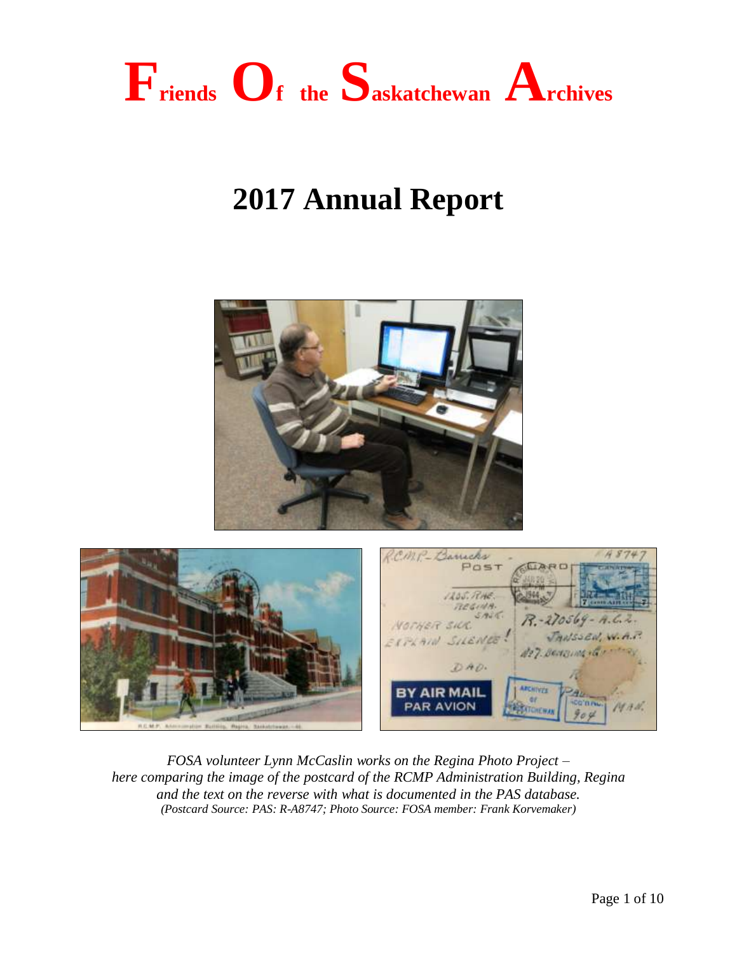

# **2017 Annual Report**





*FOSA volunteer Lynn McCaslin works on the Regina Photo Project – here comparing the image of the postcard of the RCMP Administration Building, Regina and the text on the reverse with what is documented in the PAS database. (Postcard Source: PAS: R-A8747; Photo Source: FOSA member: Frank Korvemaker)*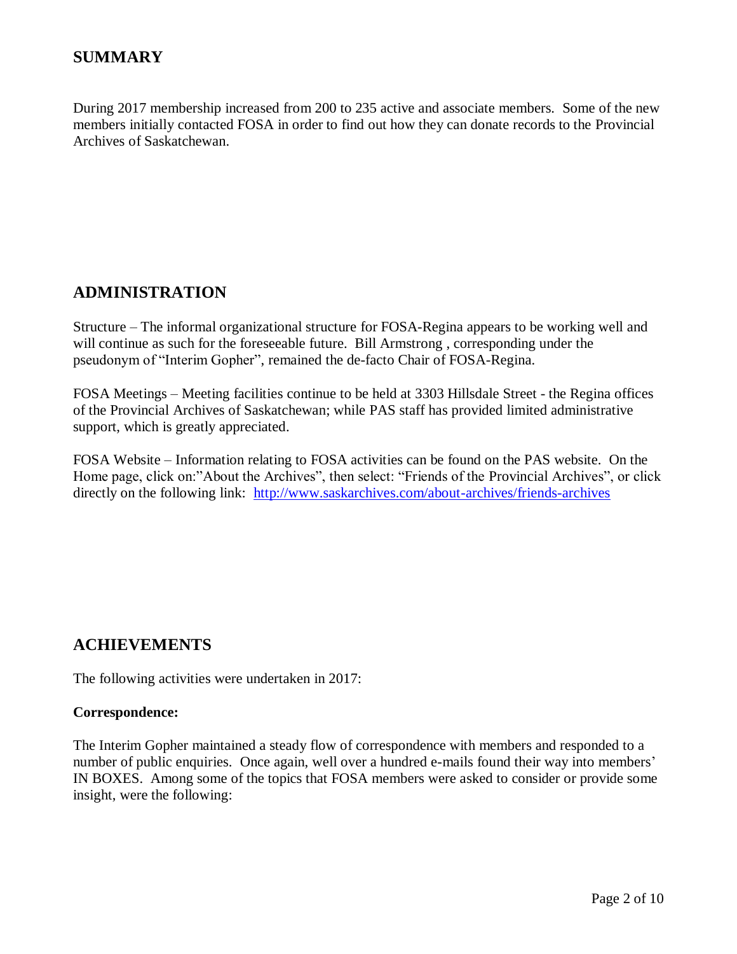## **SUMMARY**

During 2017 membership increased from 200 to 235 active and associate members. Some of the new members initially contacted FOSA in order to find out how they can donate records to the Provincial Archives of Saskatchewan.

## **ADMINISTRATION**

Structure – The informal organizational structure for FOSA-Regina appears to be working well and will continue as such for the foreseeable future. Bill Armstrong , corresponding under the pseudonym of "Interim Gopher", remained the de-facto Chair of FOSA-Regina.

FOSA Meetings – Meeting facilities continue to be held at 3303 Hillsdale Street - the Regina offices of the Provincial Archives of Saskatchewan; while PAS staff has provided limited administrative support, which is greatly appreciated.

FOSA Website – Information relating to FOSA activities can be found on the PAS website. On the Home page, click on:"About the Archives", then select: "Friends of the Provincial Archives", or click directly on the following link: <http://www.saskarchives.com/about-archives/friends-archives>

### **ACHIEVEMENTS**

The following activities were undertaken in 2017:

#### **Correspondence:**

The Interim Gopher maintained a steady flow of correspondence with members and responded to a number of public enquiries. Once again, well over a hundred e-mails found their way into members' IN BOXES. Among some of the topics that FOSA members were asked to consider or provide some insight, were the following: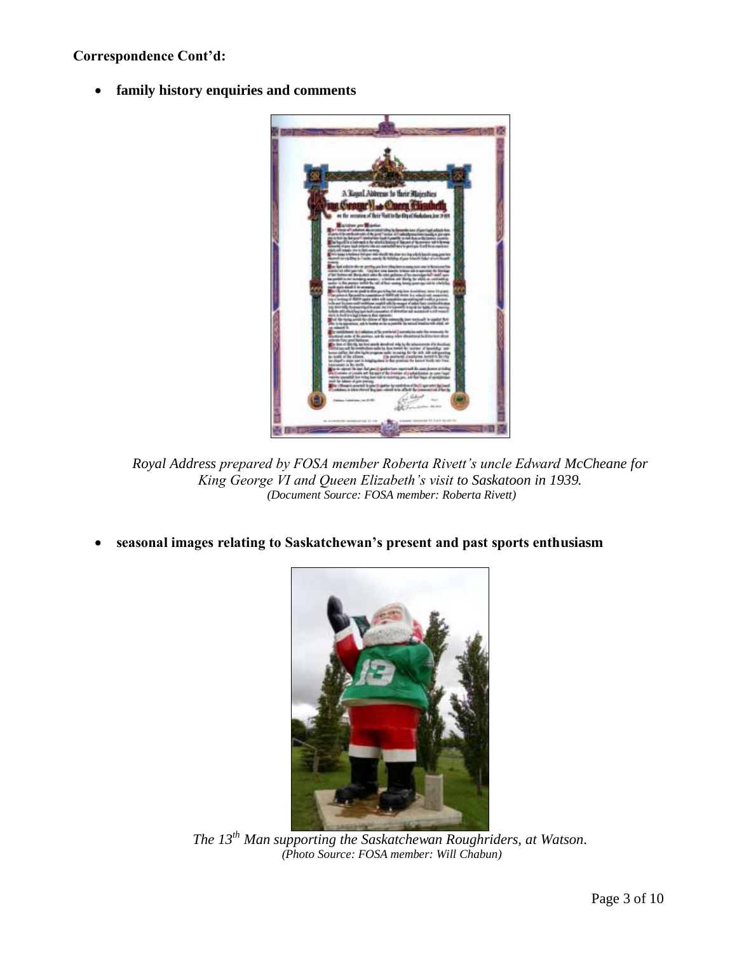**family history enquiries and comments**



*Royal Address prepared by FOSA member Roberta Rivett's uncle Edward McCheane for King George VI and Queen Elizabeth's visit to Saskatoon in 1939. (Document Source: FOSA member: Roberta Rivett)*

**seasonal images relating to Saskatchewan's present and past sports enthusiasm**



*The 13th Man supporting the Saskatchewan Roughriders, at Watson. (Photo Source: FOSA member: Will Chabun)*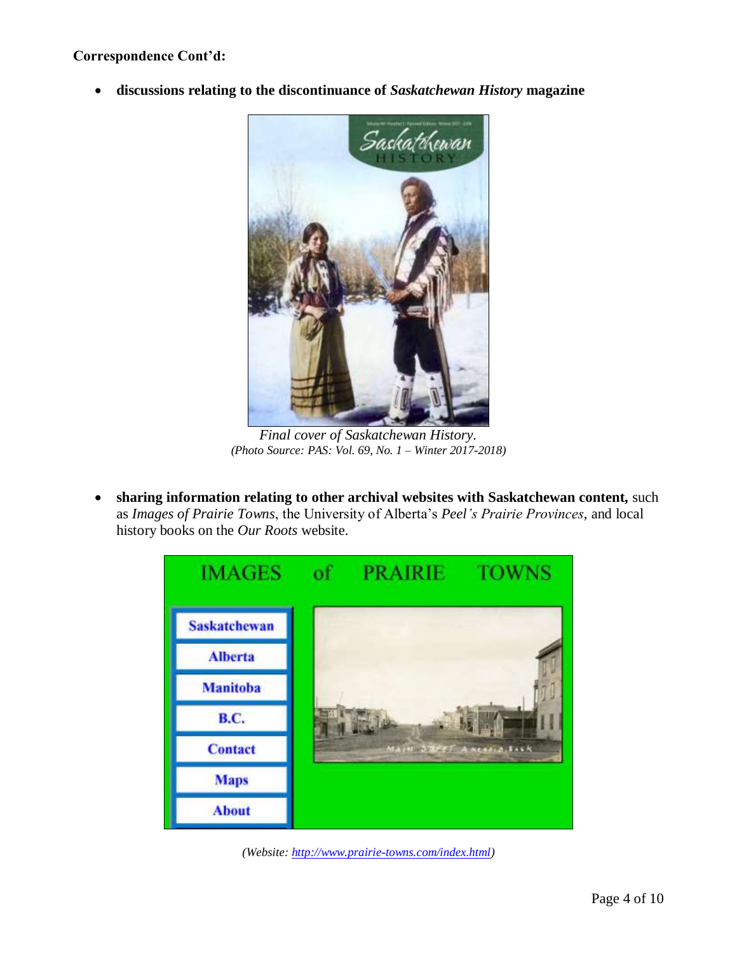**discussions relating to the discontinuance of** *Saskatchewan History* **magazine**



*Final cover of Saskatchewan History. (Photo Source: PAS: Vol. 69, No. 1 – Winter 2017-2018)*

 **sharing information relating to other archival websites with Saskatchewan content,** such as *Images of Prairie Towns*, the University of Alberta's *Peel's Prairie Provinces*, and local history books on the *Our Roots* website.



*(Website[: http://www.prairie-towns.com/index.html\)](http://www.prairie-towns.com/index.html)*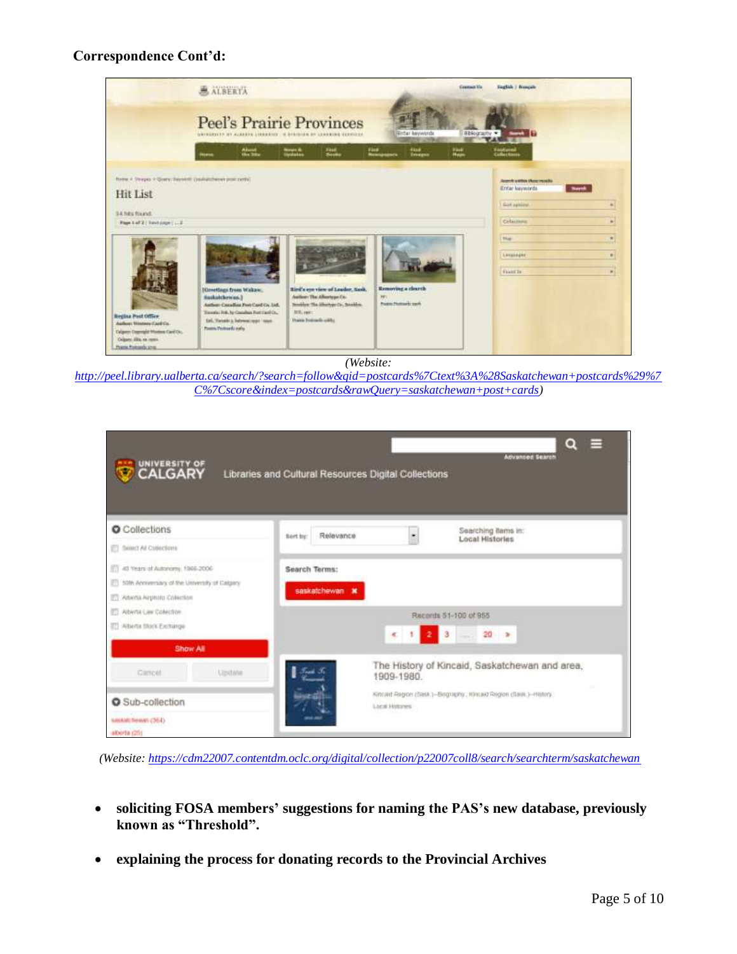

*(Website:* 

*[http://peel.library.ualberta.ca/search/?search=follow&qid=postcards%7Ctext%3A%28Saskatchewan+postcards%29%7](http://peel.library.ualberta.ca/search/?search=follow&qid=postcards%7Ctext%3A%28Saskatchewan+postcards%29%7C%7Cscore&index=postcards&rawQuery=saskatchewan+post+cards) [C%7Cscore&index=postcards&rawQuery=saskatchewan+post+cards\)](http://peel.library.ualberta.ca/search/?search=follow&qid=postcards%7Ctext%3A%28Saskatchewan+postcards%29%7C%7Cscore&index=postcards&rawQuery=saskatchewan+post+cards)*

| UNIVERSITY OF                                                                                                                | $Q \equiv$<br><b>Advanced Search</b><br>Libraries and Cultural Resources Digital Collections                 |  |  |
|------------------------------------------------------------------------------------------------------------------------------|--------------------------------------------------------------------------------------------------------------|--|--|
| <b>O</b> Collections<br>ET SHIRT At Collections                                                                              | Searching items in:<br>Relevance<br>۰<br>Nort by:<br><b>Local Histories</b>                                  |  |  |
| 17 40 Years of Autonomy, 1966-2006<br>[5] 50th Annversary of the University of Calgary<br><b>ET Aberta Arphoto Colection</b> | Search Terms:<br>saskatchewan <b>x</b>                                                                       |  |  |
| <b>ITT Alberta Caw Colection</b><br>ETT Alberta Stock Exchange<br>Show All                                                   | Records 51-100 of 955<br>23<br>$20 - x$<br>$\epsilon$<br><b>Contract</b>                                     |  |  |
| Citricial<br>Update                                                                                                          | The History of Kincaid, Saskatchewan and area,<br>1909-1980.<br>$\sim$                                       |  |  |
| O Sub-collection<br>saskatchewan (364)<br>aborta (25)                                                                        | Kincled Region (Sask.)-Bisgraphy: Hincald Region (Save,)-History.)<br><b>Local Hotones</b><br><b>CONTROL</b> |  |  |

*(Website:<https://cdm22007.contentdm.oclc.org/digital/collection/p22007coll8/search/searchterm/saskatchewan>*

- **soliciting FOSA members' suggestions for naming the PAS's new database, previously known as "Threshold".**
- **explaining the process for donating records to the Provincial Archives**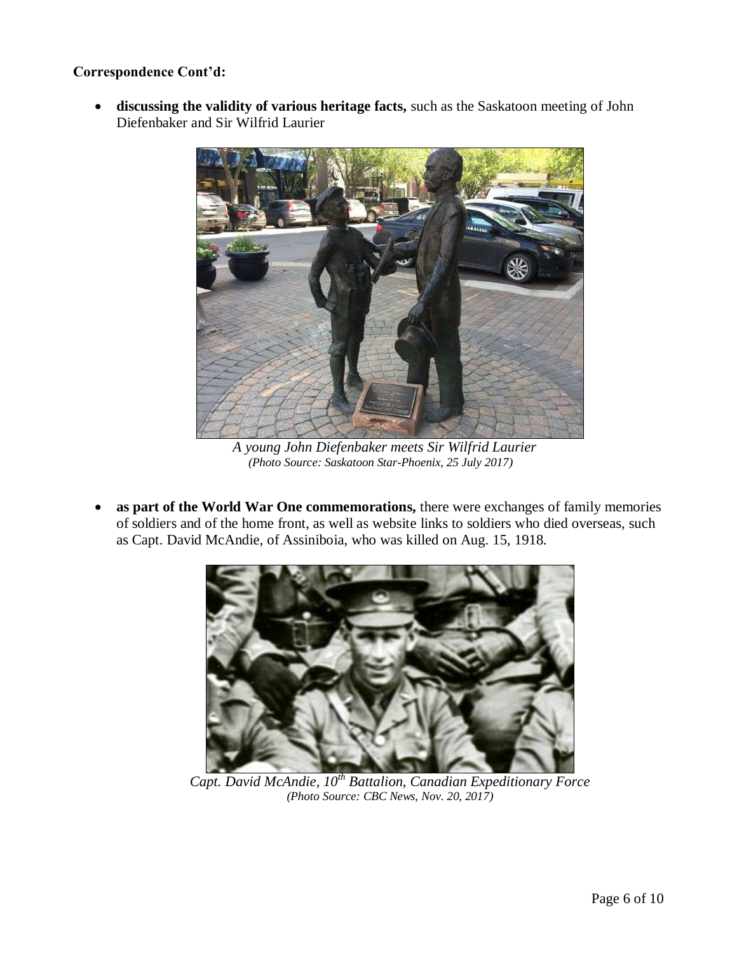**discussing the validity of various heritage facts,** such as the Saskatoon meeting of John Diefenbaker and Sir Wilfrid Laurier



 *A young John Diefenbaker meets Sir Wilfrid Laurier (Photo Source: Saskatoon Star-Phoenix, 25 July 2017)*

• as part of the World War One commemorations, there were exchanges of family memories of soldiers and of the home front, as well as website links to soldiers who died overseas, such as Capt. David McAndie, of Assiniboia, who was killed on Aug. 15, 1918.



*Capt. David McAndie, 10th Battalion, Canadian Expeditionary Force (Photo Source: CBC News, Nov. 20, 2017)*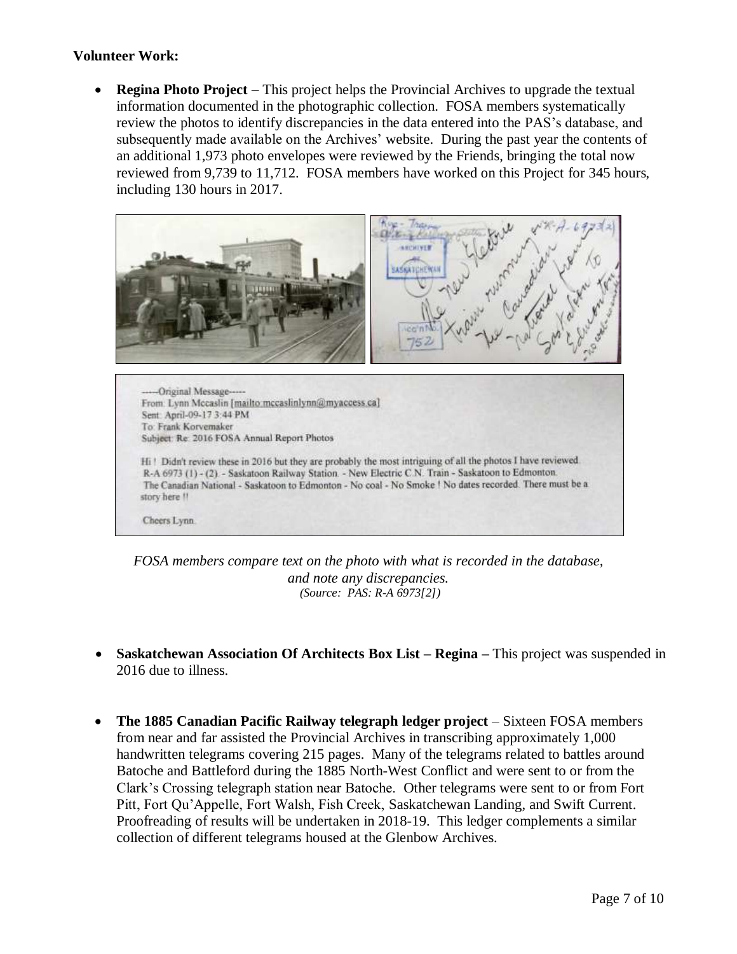#### **Volunteer Work:**

 **Regina Photo Project** – This project helps the Provincial Archives to upgrade the textual information documented in the photographic collection. FOSA members systematically review the photos to identify discrepancies in the data entered into the PAS's database, and subsequently made available on the Archives' website. During the past year the contents of an additional 1,973 photo envelopes were reviewed by the Friends, bringing the total now reviewed from 9,739 to 11,712. FOSA members have worked on this Project for 345 hours, including 130 hours in 2017.



*FOSA members compare text on the photo with what is recorded in the database, and note any discrepancies. (Source: PAS: R-A 6973[2])*

- **Saskatchewan Association Of Architects Box List – Regina –** This project was suspended in 2016 due to illness.
- **The 1885 Canadian Pacific Railway telegraph ledger project** Sixteen FOSA members from near and far assisted the Provincial Archives in transcribing approximately 1,000 handwritten telegrams covering 215 pages. Many of the telegrams related to battles around Batoche and Battleford during the 1885 North-West Conflict and were sent to or from the Clark's Crossing telegraph station near Batoche. Other telegrams were sent to or from Fort Pitt, Fort Qu'Appelle, Fort Walsh, Fish Creek, Saskatchewan Landing, and Swift Current. Proofreading of results will be undertaken in 2018-19. This ledger complements a similar collection of different telegrams housed at the Glenbow Archives.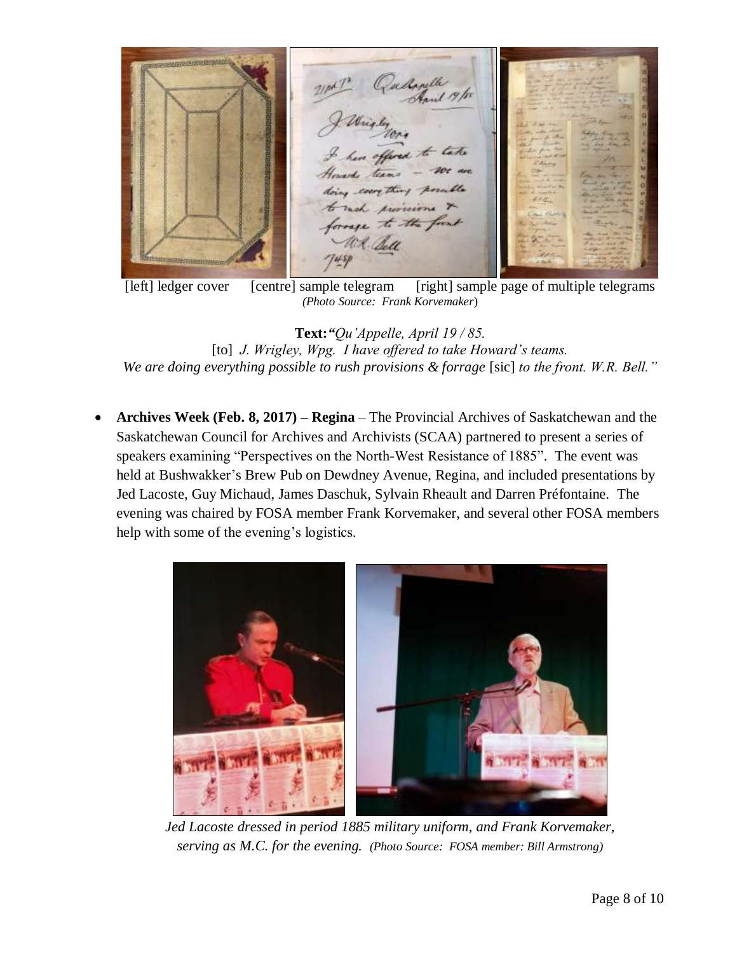12 Queligable 19/10 cocry thing ch provisions pe to the food

[left] ledger cover [centre] sample telegram [right] sample page of multiple telegrams *(Photo Source: Frank Korvemaker*)

**Text:***"Qu'Appelle, April 19 / 85.*  [to] *J. Wrigley, Wpg. I have offered to take Howard's teams. We are doing everything possible to rush provisions & forrage* [sic] *to the front. W.R. Bell."*

 **Archives Week (Feb. 8, 2017) – Regina** – The Provincial Archives of Saskatchewan and the Saskatchewan Council for Archives and Archivists (SCAA) partnered to present a series of speakers examining "Perspectives on the North-West Resistance of 1885". The event was held at Bushwakker's Brew Pub on Dewdney Avenue, Regina, and included presentations by Jed Lacoste, Guy Michaud, James Daschuk, Sylvain Rheault and Darren Préfontaine. The evening was chaired by FOSA member Frank Korvemaker, and several other FOSA members help with some of the evening's logistics.



*Jed Lacoste dressed in period 1885 military uniform, and Frank Korvemaker, serving as M.C. for the evening. (Photo Source: FOSA member: Bill Armstrong)*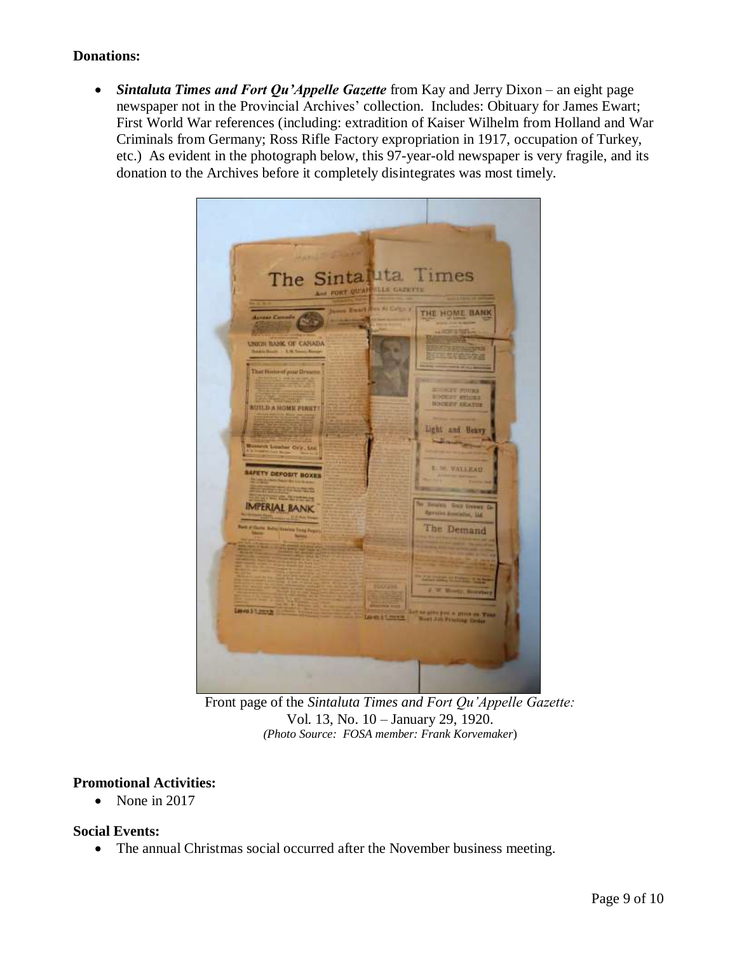#### **Donations:**

 *Sintaluta Times and Fort Qu'Appelle Gazette* from Kay and Jerry Dixon – an eight page newspaper not in the Provincial Archives' collection. Includes: Obituary for James Ewart; First World War references (including: extradition of Kaiser Wilhelm from Holland and War Criminals from Germany; Ross Rifle Factory expropriation in 1917, occupation of Turkey, etc.) As evident in the photograph below, this 97-year-old newspaper is very fragile, and its donation to the Archives before it completely disintegrates was most timely.



Front page of the *Sintaluta Times and Fort Qu'Appelle Gazette:*  Vol. 13, No. 10 – January 29, 1920. *(Photo Source: FOSA member: Frank Korvemaker*)

#### **Promotional Activities:**

 $\bullet$  None in 2017

#### **Social Events:**

The annual Christmas social occurred after the November business meeting.